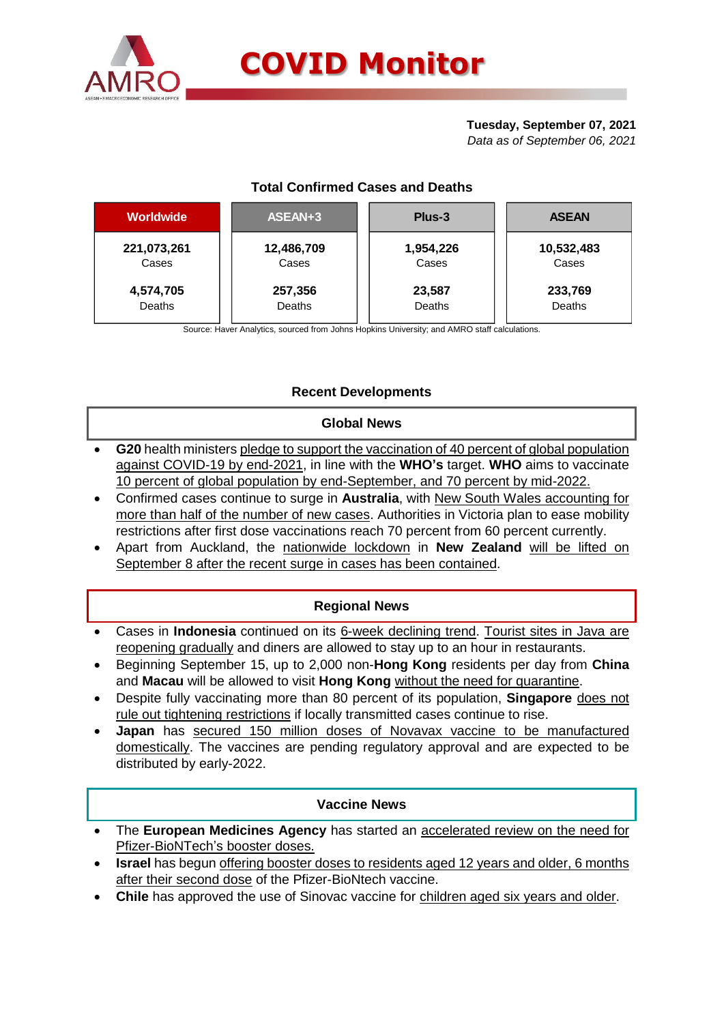

# **Tuesday, September 07, 2021**

*Data as of September 06, 2021*

| <b>Total Confirmed Cases and Deaths</b> |
|-----------------------------------------|
|                                         |

| <b>Worldwide</b> | ASEAN+3    | Plus-3    | <b>ASEAN</b> |  |  |
|------------------|------------|-----------|--------------|--|--|
| 221,073,261      | 12,486,709 | 1,954,226 | 10,532,483   |  |  |
| Cases            | Cases      | Cases     | Cases        |  |  |
| 4,574,705        | 257,356    | 23,587    | 233,769      |  |  |
| Deaths           | Deaths     | Deaths    | Deaths       |  |  |

Source: Haver Analytics, sourced from Johns Hopkins University; and AMRO staff calculations.

# **Recent Developments**

### **Global News**

- **G20** health ministers pledge to support the vaccination of 40 percent of global population against COVID-19 by end-2021, in line with the **WHO's** target. **WHO** aims to vaccinate 10 percent of global population by end-September, and 70 percent by mid-2022.
- Confirmed cases continue to surge in **Australia**, with New South Wales accounting for more than half of the number of new cases. Authorities in Victoria plan to ease mobility restrictions after first dose vaccinations reach 70 percent from 60 percent currently.
- Apart from Auckland, the nationwide lockdown in **New Zealand** will be lifted on September 8 after the recent surge in cases has been contained.

# **Regional News**

- Cases in **Indonesia** continued on its 6-week declining trend. Tourist sites in Java are reopening gradually and diners are allowed to stay up to an hour in restaurants.
- Beginning September 15, up to 2,000 non-**Hong Kong** residents per day from **China** and **Macau** will be allowed to visit **Hong Kong** without the need for quarantine.
- Despite fully vaccinating more than 80 percent of its population, **Singapore** does not rule out tightening restrictions if locally transmitted cases continue to rise.
- **Japan** has secured 150 million doses of Novavax vaccine to be manufactured domestically. The vaccines are pending regulatory approval and are expected to be distributed by early-2022.

### **Vaccine News**

- The **European Medicines Agency** has started an accelerated review on the need for Pfizer-BioNTech's booster doses.
- **Israel** has begun offering booster doses to residents aged 12 years and older, 6 months after their second dose of the Pfizer-BioNtech vaccine.
- **Chile** has approved the use of Sinovac vaccine for children aged six years and older.